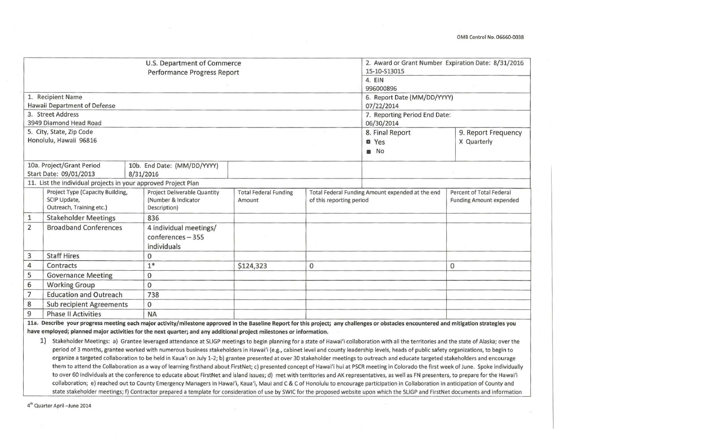|                |                                                                | U.S. Department of Commerce                                                                                                                                                               | 2. Award or Grant Number Expiration Date: 8/31/2016 |                                                  |                               |                                |  |  |
|----------------|----------------------------------------------------------------|-------------------------------------------------------------------------------------------------------------------------------------------------------------------------------------------|-----------------------------------------------------|--------------------------------------------------|-------------------------------|--------------------------------|--|--|
|                |                                                                | Performance Progress Report                                                                                                                                                               |                                                     |                                                  | 15-10-S13015                  |                                |  |  |
|                |                                                                |                                                                                                                                                                                           |                                                     |                                                  | 4. EIN                        |                                |  |  |
|                |                                                                |                                                                                                                                                                                           |                                                     |                                                  | 996000896                     |                                |  |  |
|                | 1. Recipient Name                                              |                                                                                                                                                                                           |                                                     |                                                  | 6. Report Date (MM/DD/YYYY)   |                                |  |  |
|                | Hawaii Department of Defense                                   |                                                                                                                                                                                           |                                                     |                                                  | 07/22/2014                    |                                |  |  |
|                | 3. Street Address                                              |                                                                                                                                                                                           |                                                     |                                                  | 7. Reporting Period End Date: |                                |  |  |
|                | 3949 Diamond Head Road                                         |                                                                                                                                                                                           |                                                     |                                                  | 06/30/2014                    |                                |  |  |
|                | 5. City, State, Zip Code                                       |                                                                                                                                                                                           |                                                     |                                                  | 8. Final Report               | 9. Report Frequency            |  |  |
|                | Honolulu, Hawaii 96816                                         |                                                                                                                                                                                           |                                                     |                                                  | <b>O</b> Yes                  | X Quarterly                    |  |  |
|                |                                                                |                                                                                                                                                                                           |                                                     |                                                  | $\blacksquare$ No             |                                |  |  |
|                | 10a. Project/Grant Period                                      | 10b. End Date: (MM/DD/YYYY)                                                                                                                                                               |                                                     |                                                  |                               |                                |  |  |
|                | Start Date: 09/01/2013                                         | 8/31/2016                                                                                                                                                                                 |                                                     |                                                  |                               |                                |  |  |
|                | 11. List the individual projects in your approved Project Plan |                                                                                                                                                                                           |                                                     |                                                  |                               |                                |  |  |
|                | Project Type (Capacity Building,                               | Project Deliverable Quantity                                                                                                                                                              | <b>Total Federal Funding</b>                        | Total Federal Funding Amount expended at the end |                               | Percent of Total Federal       |  |  |
|                | SCIP Update,                                                   | (Number & Indicator                                                                                                                                                                       | Amount                                              | of this reporting period                         |                               | <b>Funding Amount expended</b> |  |  |
|                | Outreach, Training etc.)                                       | Description)                                                                                                                                                                              |                                                     |                                                  |                               |                                |  |  |
| $\mathbf{1}$   | <b>Stakeholder Meetings</b>                                    | 836                                                                                                                                                                                       |                                                     |                                                  |                               |                                |  |  |
| $\overline{2}$ | <b>Broadband Conferences</b>                                   | 4 individual meetings/                                                                                                                                                                    |                                                     |                                                  |                               |                                |  |  |
|                |                                                                | $conferences - 355$                                                                                                                                                                       |                                                     |                                                  |                               |                                |  |  |
|                |                                                                | individuals                                                                                                                                                                               |                                                     |                                                  |                               |                                |  |  |
| $\mathbf{3}$   | <b>Staff Hires</b>                                             | 0                                                                                                                                                                                         |                                                     |                                                  |                               |                                |  |  |
| $\overline{4}$ | Contracts                                                      | $1*$                                                                                                                                                                                      | \$124,323                                           | 0                                                |                               | 0                              |  |  |
| 5              | <b>Governance Meeting</b>                                      | $\mathbf{0}$                                                                                                                                                                              |                                                     |                                                  |                               |                                |  |  |
| 6              | <b>Working Group</b>                                           | $\mathbf 0$                                                                                                                                                                               |                                                     |                                                  |                               |                                |  |  |
| $\overline{7}$ | <b>Education and Outreach</b>                                  | 738                                                                                                                                                                                       |                                                     |                                                  |                               |                                |  |  |
| 8              | <b>Sub recipient Agreements</b>                                | $\mathbf{0}$                                                                                                                                                                              |                                                     |                                                  |                               |                                |  |  |
| 9              | <b>Phase II Activities</b>                                     | <b>NA</b>                                                                                                                                                                                 |                                                     |                                                  |                               |                                |  |  |
|                |                                                                | 11a. Describe your progress meeting each major activity/milestone approved in the Baseline Report for this project; any challenges or obstacles encountered and mitigation strategies you |                                                     |                                                  |                               |                                |  |  |
|                |                                                                | have employed; planned major activities for the next quarter; and any additional project milestones or information.                                                                       |                                                     |                                                  |                               |                                |  |  |

1) Stakeholder Meetings: a) Grantee leveraged attendance at SLIGP meetings to begin planning for a state of Hawai'i collaboration with all the territories and the state of Alaska; over the period of 3 months, grantee worked with numerous business stakeholders in Hawai'i (e.g., cabinet level and county leadership levels, heads of public safety organizations, to begin to organize a targeted collaboration to be held in Kaua'i on July 1-2; b) grantee presented at over 30 stakeholder meetings to outreach and educate targeted stakeholders and encourage them to attend the Collaboration as a way of learning firsthand about FirstNet; c) presented concept of Hawai'i hui at PSCR meeting in Colorado the first week of June. Spoke individually to over 60 individuals at the conference to educate about FirstNet and island issues; d) met with territories and AK representatives, as well as FN presenters, to prepare for the Hawai'i collaboration; e) reached out to County Emergency Managers in Hawai'i, Kaua'i, Maui and C & C of Honolulu to encourage participation in Collaboration in anticipation of County and state stakeholder meetings; f) Contractor prepared a template for consideration of use by SWIC for the proposed website upon which the SLIGP and FirstNet documents and information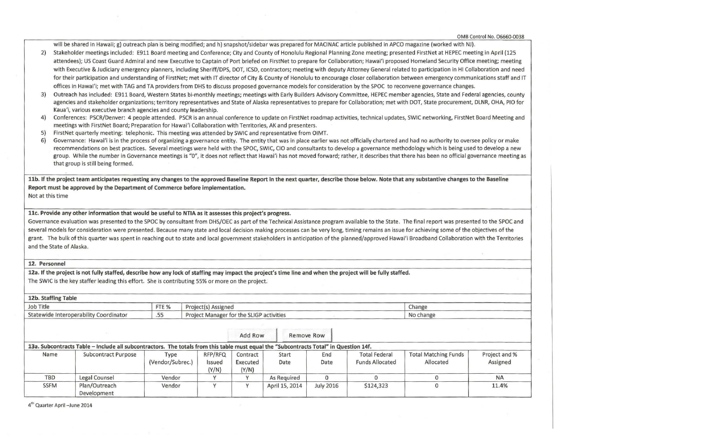will be shared in Hawaii; g) outreach plan is being modified; and h) snapshot/sidebar was prepared for MACINAC article published in APCO magazine (worked with NJ).

- 2) Stakeholder meetings included: E911 Board meeting and Conference; City and County of Honolulu Regional Planning Zone meeting; presented FirstNet at HEPEC meeting in April (125 attendees); US Coast Guard Admiral and new Executive to Captain of Port briefed on FirstNet to prepare for Collaboration; Hawai'i proposed Homeland Security Office meeting; meeting with Executive & Judiciary emergency planners, including Sheriff/DPS, DOT, ICSD, contractors; meeting with deputy Attorney General related to participation in HI Collaboration and need for their participation and understanding of FirstNet; met with IT director of City & County of Honolulu to encourage closer collaboration between emergency communications staff and IT offices in Hawai'i; met with TAG and TA providers from DHS to discuss proposed governance models for consideration by the SPOC to reconvene governance changes.
- 3) Outreach has included: E911 Board, Western States bi-monthly meetings; meetings with Early Builders Advisory Committee, HEPEC member agencies, State and Federal agencies, county agencies and stakeholder organizations; territory representatives and State of Alaska representatives to prepare for Collaboration; met with DOT, State procurement, DLNR, OHA, PIO for Kaua'i, various executive branch agencies and county leadership.
- 4) Conferences: PSCR/Denver: 4 people attended. PSCR is an annual conference to update on FirstNet roadmap activities, technical updates, SWIC networking, FirstNet Board Meeting and meetings with FirstNet Board; Preparation for Hawai'i Collaboration with Territories, AK and presenters.
- 5) FirstNet quarterly meeting: telephonic. This meeting was attended by SWIC and representative from OIMT.
- 6) Governance: Hawai'i is in the process of organizing a governance entity. The entity that was in place earlier was not officially chartered and had no authority to oversee policy or make recommendations on best practices. Several meetings were held with the SPOC, SWIC, CIO and consultants to develop a governance methodology which is being used to develop a new group. While the number in Governance meetings is "0", it does not reflect that Hawai'i has not moved forward; rather, it describes that there has been no official governance meeting as that group is still being formed.

llb. If the project team anticipates requesting any changes to the approved Baseline Report in the next quarter, describe those below. Note that any substantive changes to the Baseline Report must be approved by the Department of Commerce before implementation.

Not at this time

llc. Provide any other information that would be useful to NTIA as it assesses this project's progress.

Governance evaluation was presented to the SPOC by consultant from DHS/OEC as part of the Technical Assistance program available to the State. The final report was presented to the SPOC and several models for consideration were presented. Because many state and local decision making processes can be very long, timing remains an issue for achieving some of the objectives of the grant. The bulk of this quarter was spent in reaching out to state and local government stakeholders in anticipation of the planned/approved Hawai'i Broadband Collaboration with the Territories and the State of Alaska.

12. Personnel

12a. If the project is not fully staffed, describe how any lock of staffing may impact the project's time line and when the project will be fully staffed. The SWIC is the key staffer leading this effort. She is contributing 55% or more on the project.

| 12b. Staffing Table                    |       |                                          |           |  |  |  |  |  |  |
|----------------------------------------|-------|------------------------------------------|-----------|--|--|--|--|--|--|
| Job Title                              | FTE % | Project(s) Assigned                      | Change    |  |  |  |  |  |  |
| Statewide Interoperability Coordinator | ر ر.  | Project Manager for the SLIGP activities | No change |  |  |  |  |  |  |

|             | 13a. Subcontracts Table - Include all subcontractors. The totals from this table must equal the "Subcontracts Total" in Question 14f. |                          |                            | Add Row                       | Remove Row     |                  |                                                |                                          |                           |
|-------------|---------------------------------------------------------------------------------------------------------------------------------------|--------------------------|----------------------------|-------------------------------|----------------|------------------|------------------------------------------------|------------------------------------------|---------------------------|
| Name        | <b>Subcontract Purpose</b>                                                                                                            | Type<br>(Vendor/Subrec.) | RFP/RFQ<br>Issued<br>(Y/N) | Contract<br>Executed<br>(Y/N) | Start<br>Date  | End<br>Date      | <b>Total Federal</b><br><b>Funds Allocated</b> | <b>Total Matching Funds</b><br>Allocated | Project and %<br>Assigned |
| <b>TBD</b>  | Legal Counsel                                                                                                                         | Vendor                   |                            |                               | As Required    |                  |                                                |                                          | <b>NA</b>                 |
| <b>SSFM</b> | Plan/Outreach<br>Development                                                                                                          | Vendor                   |                            |                               | April 15, 2014 | <b>July 2016</b> | \$124,323                                      |                                          | 11.4%                     |